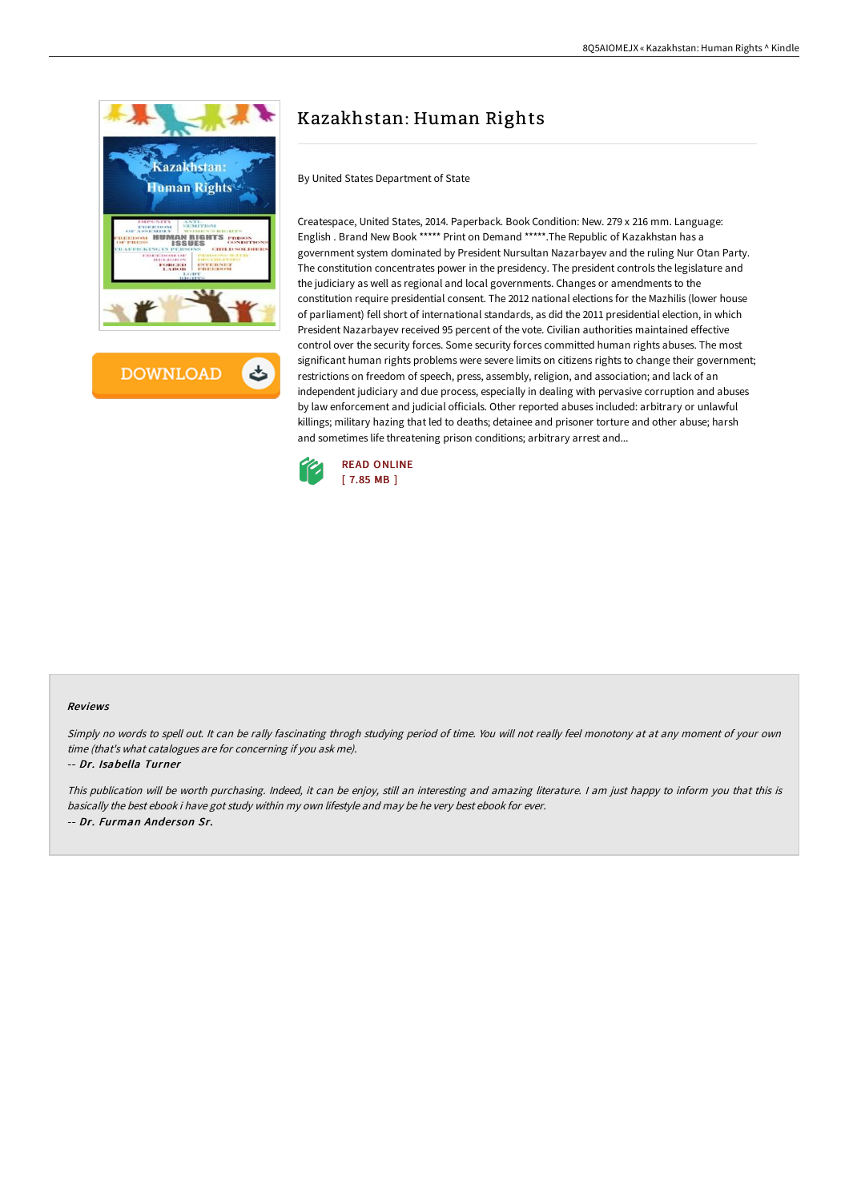



# Kazakhstan: Human Rights

By United States Department of State

Createspace, United States, 2014. Paperback. Book Condition: New. 279 x 216 mm. Language: English . Brand New Book \*\*\*\*\* Print on Demand \*\*\*\*\*.The Republic of Kazakhstan has a government system dominated by President Nursultan Nazarbayev and the ruling Nur Otan Party. The constitution concentrates power in the presidency. The president controls the legislature and the judiciary as well as regional and local governments. Changes or amendments to the constitution require presidential consent. The 2012 national elections for the Mazhilis (lower house of parliament) fell short of international standards, as did the 2011 presidential election, in which President Nazarbayev received 95 percent of the vote. Civilian authorities maintained effective control over the security forces. Some security forces committed human rights abuses. The most significant human rights problems were severe limits on citizens rights to change their government; restrictions on freedom of speech, press, assembly, religion, and association; and lack of an independent judiciary and due process, especially in dealing with pervasive corruption and abuses by law enforcement and judicial officials. Other reported abuses included: arbitrary or unlawful killings; military hazing that led to deaths; detainee and prisoner torture and other abuse; harsh and sometimes life threatening prison conditions; arbitrary arrest and...



#### Reviews

Simply no words to spell out. It can be rally fascinating throgh studying period of time. You will not really feel monotony at at any moment of your own time (that's what catalogues are for concerning if you ask me).

#### -- Dr. Isabella Turner

This publication will be worth purchasing. Indeed, it can be enjoy, still an interesting and amazing literature. <sup>I</sup> am just happy to inform you that this is basically the best ebook i have got study within my own lifestyle and may be he very best ebook for ever. -- Dr. Furman Ander son Sr.